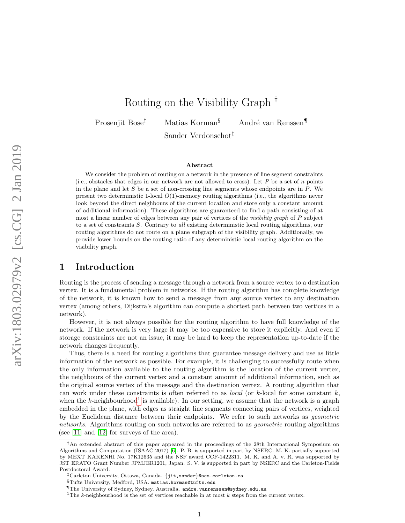# Routing on the Visibility Graph †

Prosenjit Bose<sup>‡</sup> Matias Korman<sup>§</sup> André van Renssen¶

Sander Verdonschot‡

#### Abstract

We consider the problem of routing on a network in the presence of line segment constraints (i.e., obstacles that edges in our network are not allowed to cross). Let  $P$  be a set of  $n$  points in the plane and let  $S$  be a set of non-crossing line segments whose endpoints are in  $P$ . We present two deterministic 1-local  $O(1)$ -memory routing algorithms (i.e., the algorithms never look beyond the direct neighbours of the current location and store only a constant amount of additional information). These algorithms are guaranteed to find a path consisting of at most a linear number of edges between any pair of vertices of the *visibility graph* of  $P$  subject to a set of constraints S. Contrary to all existing deterministic local routing algorithms, our routing algorithms do not route on a plane subgraph of the visibility graph. Additionally, we provide lower bounds on the routing ratio of any deterministic local routing algorithm on the visibility graph.

# 1 Introduction

Routing is the process of sending a message through a network from a source vertex to a destination vertex. It is a fundamental problem in networks. If the routing algorithm has complete knowledge of the network, it is known how to send a message from any source vertex to any destination vertex (among others, Dijkstra's algorithm can compute a shortest path between two vertices in a network).

However, it is not always possible for the routing algorithm to have full knowledge of the network. If the network is very large it may be too expensive to store it explicitly. And even if storage constraints are not an issue, it may be hard to keep the representation up-to-date if the network changes frequently.

Thus, there is a need for routing algorithms that guarantee message delivery and use as little information of the network as possible. For example, it is challenging to successfully route when the only information available to the routing algorithm is the location of the current vertex, the neighbours of the current vertex and a constant amount of additional information, such as the original source vertex of the message and the destination vertex. A routing algorithm that can work under these constraints is often referred to as *local* (or k-local for some constant  $k$ , when the k-neighbourhood<sup>[1](#page-0-0)</sup> is available). In our setting, we assume that the network is a graph embedded in the plane, with edges as straight line segments connecting pairs of vertices, weighted by the Euclidean distance between their endpoints. We refer to such networks as geometric networks. Algorithms routing on such networks are referred to as *geometric* routing algorithms (see [\[11\]](#page-18-0) and [\[12\]](#page-18-1) for surveys of the area).

<sup>†</sup>An extended abstract of this paper appeared in the proceedings of the 28th International Symposium on Algorithms and Computation (ISAAC 2017) [\[6\]](#page-18-2). P. B. is supported in part by NSERC. M. K. partially supported by MEXT KAKENHI No. 17K12635 and the NSF award CCF-1422311. M. K. and A. v. R. was supported by JST ERATO Grant Number JPMJER1201, Japan. S. V. is supported in part by NSERC and the Carleton-Fields Postdoctoral Award.

<sup>‡</sup>Carleton University, Ottawa, Canada. {jit,sander}@scs.carleton.ca

<sup>§</sup>Tufts University, Medford, USA. matias.korman@tufts.edu

<sup>¶</sup>The University of Sydney, Sydney, Australia. andre.vanrenssen@sydney.edu.au

<span id="page-0-0"></span><sup>&</sup>lt;sup>1</sup>The k-neighbourhood is the set of vertices reachable in at most k steps from the current vertex.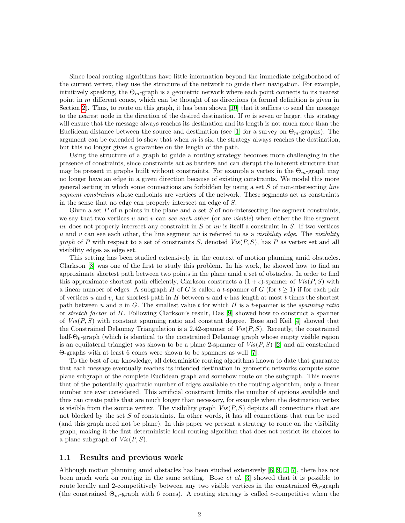Since local routing algorithms have little information beyond the immediate neighborhood of the current vertex, they use the structure of the network to guide their navigation. For example, intuitively speaking, the  $\Theta_m$ -graph is a geometric network where each point connects to its nearest point in  $m$  different cones, which can be thought of as directions (a formal definition is given in Section [2\)](#page-2-0). Thus, to route on this graph, it has been shown [\[10\]](#page-18-3) that it suffices to send the message to the nearest node in the direction of the desired destination. If  $m$  is seven or larger, this strategy will ensure that the message always reaches its destination and its length is not much more than the Euclidean distance between the source and destination (see [\[1\]](#page-17-0) for a survey on  $\Theta_m$ -graphs). The argument can be extended to show that when  $m$  is six, the strategy always reaches the destination, but this no longer gives a guarantee on the length of the path.

Using the structure of a graph to guide a routing strategy becomes more challenging in the presence of constraints, since constraints act as barriers and can disrupt the inherent structure that may be present in graphs built without constraints. For example a vertex in the  $\Theta_m$ -graph may no longer have an edge in a given direction because of existing constraints. We model this more general setting in which some connections are forbidden by using a set  $S$  of non-intersecting *line* segment constraints whose endpoints are vertices of the network. These segments act as constraints in the sense that no edge can properly intersect an edge of S.

Given a set P of  $n$  points in the plane and a set S of non-intersecting line segment constraints, we say that two vertices u and v can see each other (or are visible) when either the line segment uv does not properly intersect any constraint in  $S$  or uv is itself a constraint in  $S$ . If two vertices u and v can see each other, the line segment uv is referred to as a visibility edge. The visibility graph of P with respect to a set of constraints S, denoted  $Vis(P, S)$ , has P as vertex set and all visibility edges as edge set.

This setting has been studied extensively in the context of motion planning amid obstacles. Clarkson [\[8\]](#page-18-4) was one of the first to study this problem. In his work, he showed how to find an approximate shortest path between two points in the plane amid a set of obstacles. In order to find this approximate shortest path efficiently, Clarkson constructs a  $(1 + \epsilon)$ -spanner of  $Vis(P, S)$  with a linear number of edges. A subgraph H of G is called a t-spanner of G (for  $t \geq 1$ ) if for each pair of vertices u and v, the shortest path in H between u and v has length at most t times the shortest path between u and v in  $G$ . The smallest value t for which  $H$  is a t-spanner is the spanning ratio or stretch factor of H. Following Clarkson's result, Das [\[9\]](#page-18-5) showed how to construct a spanner of  $Vis(P, S)$  with constant spanning ratio and constant degree. Bose and Keil [\[4\]](#page-18-6) showed that the Constrained Delaunay Triangulation is a 2.42-spanner of  $Vis(P, S)$ . Recently, the constrained half- $\Theta_6$ -graph (which is identical to the constrained Delaunay graph whose empty visible region is an equilateral triangle) was shown to be a plane 2-spanner of  $Vis(P, S)$  [\[2\]](#page-17-1) and all constrained Θ-graphs with at least 6 cones were shown to be spanners as well [\[7\]](#page-18-7).

To the best of our knowledge, all deterministic routing algorithms known to date that guarantee that each message eventually reaches its intended destination in geometric networks compute some plane subgraph of the complete Euclidean graph and somehow route on the subgraph. This means that of the potentially quadratic number of edges available to the routing algorithm, only a linear number are ever considered. This artificial constraint limits the number of options available and thus can create paths that are much longer than necessary, for example when the destination vertex is visible from the source vertex. The visibility graph  $Vis(P, S)$  depicts all connections that are not blocked by the set  $S$  of constraints. In other words, it has all connections that can be used (and this graph need not be plane). In this paper we present a strategy to route on the visibility graph, making it the first deterministic local routing algorithm that does not restrict its choices to a plane subgraph of  $Vis(P, S)$ .

### 1.1 Results and previous work

Although motion planning amid obstacles has been studied extensively [\[8,](#page-18-4) [9,](#page-18-5) [2,](#page-17-1) [7\]](#page-18-7), there has not been much work on routing in the same setting. Bose  $et$  al. [\[3\]](#page-17-2) showed that it is possible to route locally and 2-competitively between any two visible vertices in the constrained  $\Theta_6$ -graph (the constrained  $\Theta_m$ -graph with 6 cones). A routing strategy is called c-competitive when the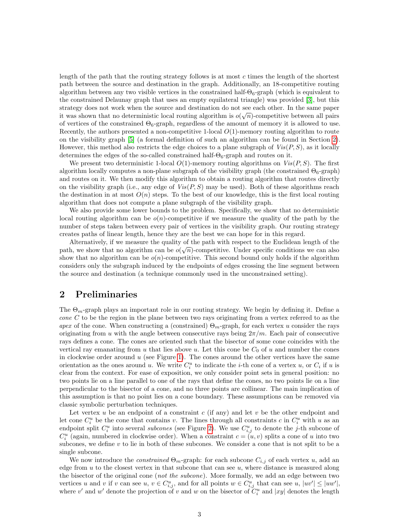length of the path that the routing strategy follows is at most  $c$  times the length of the shortest path between the source and destination in the graph. Additionally, an 18-competitive routing algorithm between any two visible vertices in the constrained half- $\Theta_6$ -graph (which is equivalent to the constrained Delaunay graph that uses an empty equilateral triangle) was provided [\[3\]](#page-17-2), but this strategy does not work when the source and destination do not see each other. In the same paper it was shown that no deterministic local routing algorithm is  $o(\sqrt{n})$ -competitive between all pairs of vertices of the constrained  $\Theta_6$ -graph, regardless of the amount of memory it is allowed to use. Recently, the authors presented a non-competitive 1-local  $O(1)$ -memory routing algorithm to route on the visibility graph [\[5\]](#page-18-8) (a formal definition of such an algorithm can be found in Section [2\)](#page-2-0). However, this method also restricts the edge choices to a plane subgraph of  $Vis(P, S)$ , as it locally determines the edges of the so-called constrained half- $\Theta_6$ -graph and routes on it.

We present two deterministic 1-local  $O(1)$ -memory routing algorithms on  $Vis(P, S)$ . The first algorithm locally computes a non-plane subgraph of the visibility graph (the constrained  $\Theta_6$ -graph) and routes on it. We then modify this algorithm to obtain a routing algorithm that routes directly on the visibility graph (i.e., any edge of  $Vis(P, S)$  may be used). Both of these algorithms reach the destination in at most  $O(n)$  steps. To the best of our knowledge, this is the first local routing algorithm that does not compute a plane subgraph of the visibility graph.

We also provide some lower bounds to the problem. Specifically, we show that no deterministic local routing algorithm can be  $o(n)$ -competitive if we measure the quality of the path by the number of steps taken between every pair of vertices in the visibility graph. Our routing strategy creates paths of linear length, hence they are the best we can hope for in this regard.

Alternatively, if we measure the quality of the path with respect to the Euclidean length of the Atternatively, if we measure the quality of the path with respect to the Euclidean length of the path, we show that no algorithm can be  $o(\sqrt{n})$ -competitive. Under specific conditions we can also show that no algorithm can be  $o(n)$ -competitive. This second bound only holds if the algorithm considers only the subgraph induced by the endpoints of edges crossing the line segment between the source and destination (a technique commonly used in the unconstrained setting).

# <span id="page-2-0"></span>2 Preliminaries

The  $\Theta_m$ -graph plays an important role in our routing strategy. We begin by defining it. Define a cone  $C$  to be the region in the plane between two rays originating from a vertex referred to as the apex of the cone. When constructing a (constrained)  $\Theta_m$ -graph, for each vertex u consider the rays originating from u with the angle between consecutive rays being  $2\pi/m$ . Each pair of consecutive rays defines a cone. The cones are oriented such that the bisector of some cone coincides with the vertical ray emanating from u that lies above u. Let this cone be  $C_0$  of u and number the cones in clockwise order around  $u$  (see Figure [1\)](#page-3-0). The cones around the other vertices have the same orientation as the ones around u. We write  $C_i^u$  to indicate the *i*-th cone of a vertex u, or  $C_i$  if u is clear from the context. For ease of exposition, we only consider point sets in general position: no two points lie on a line parallel to one of the rays that define the cones, no two points lie on a line perpendicular to the bisector of a cone, and no three points are collinear. The main implication of this assumption is that no point lies on a cone boundary. These assumptions can be removed via classic symbolic perturbation techniques.

Let vertex u be an endpoint of a constraint  $c$  (if any) and let  $v$  be the other endpoint and let cone  $C_i^u$  be the cone that contains v. The lines through all constraints c in  $C_i^u$  with u as an endpoint split  $C_i^u$  into several subcones (see Figure [2\)](#page-3-1). We use  $C_{i,j}^u$  to denote the j-th subcone of  $C_i^u$  (again, numbered in clockwise order). When a constraint  $c = (u, v)$  splits a cone of u into two subcones, we define v to lie in both of these subcones. We consider a cone that is not split to be a single subcone.

We now introduce the *constrained*  $\Theta_m$ -graph: for each subcone  $C_{i,j}$  of each vertex u, add an edge from  $u$  to the closest vertex in that subcone that can see  $u$ , where distance is measured along the bisector of the original cone (not the subcone). More formally, we add an edge between two vertices u and v if v can see u,  $v \in C_{i,j}^u$ , and for all points  $w \in C_{i,j}^u$  that can see u,  $|uv'| \leq |uw'|$ , where  $v'$  and  $w'$  denote the projection of v and w on the bisector of  $C_i^u$  and  $|xy|$  denotes the length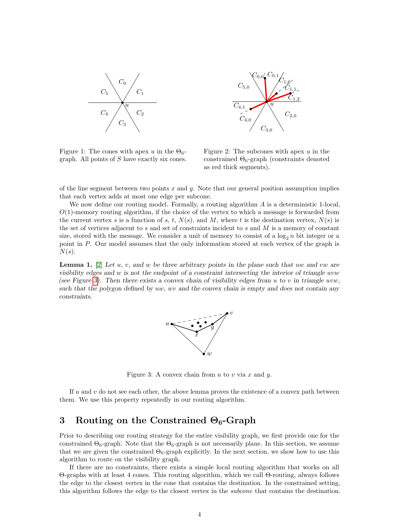



<span id="page-3-0"></span>Figure 1: The cones with apex u in the  $\Theta_6$ graph. All points of  $S$  have exactly six cones.

<span id="page-3-1"></span>Figure 2: The subcones with apex  $u$  in the constrained  $\Theta_6$ -graph (constraints denoted as red thick segments).

of the line segment between two points  $x$  and  $y$ . Note that our general position assumption implies that each vertex adds at most one edge per subcone.

We now define our routing model. Formally, a routing algorithm A is a deterministic 1-local,  $O(1)$ -memory routing algorithm, if the choice of the vertex to which a message is forwarded from the current vertex s is a function of s, t,  $N(s)$ , and M, where t is the destination vertex,  $N(s)$  is the set of vertices adjacent to  $s$  and set of constraints incident to  $s$  and  $M$  is a memory of constant size, stored with the message. We consider a unit of memory to consist of a  $\log_2 n$  bit integer or a point in P. Our model assumes that the only information stored at each vertex of the graph is  $N(s)$ .

<span id="page-3-3"></span>**Lemma 1.** [\[2\]](#page-17-1) Let u, v, and w be three arbitrary points in the plane such that uw and vw are visibility edges and w is not the endpoint of a constraint intersecting the interior of triangle uvw (see Figure [3\)](#page-3-2). Then there exists a convex chain of visibility edges from u to v in triangle uvw, such that the polygon defined by uw, wv and the convex chain is empty and does not contain any constraints.



<span id="page-3-2"></span>Figure 3: A convex chain from  $u$  to  $v$  via  $x$  and  $y$ .

If  $u$  and  $v$  do not see each other, the above lemma proves the existence of a convex path between them. We use this property repeatedly in our routing algorithm.

# 3 Routing on the Constrained  $\Theta_6$ -Graph

Prior to describing our routing strategy for the entire visibility graph, we first provide one for the constrained  $\Theta_6$ -graph. Note that the  $\Theta_6$ -graph is not necessarily plane. In this section, we assume that we are given the constrained  $\Theta_6$ -graph explicitly. In the next section, we show how to use this algorithm to route on the visibility graph.

If there are no constraints, there exists a simple local routing algorithm that works on all Θ-graphs with at least 4 cones. This routing algorithm, which we call Θ-routing, always follows the edge to the closest vertex in the cone that contains the destination. In the constrained setting, this algorithm follows the edge to the closest vertex in the subcone that contains the destination.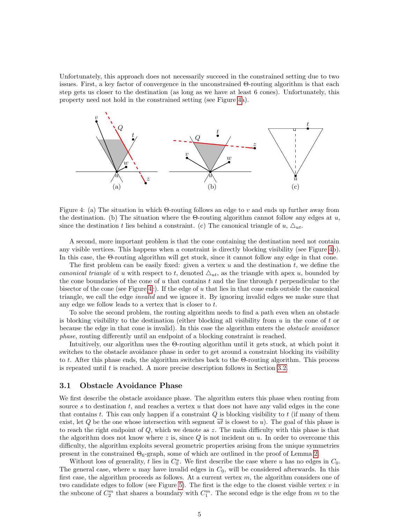Unfortunately, this approach does not necessarily succeed in the constrained setting due to two issues. First, a key factor of convergence in the unconstrained Θ-routing algorithm is that each step gets us closer to the destination (as long as we have at least 6 cones). Unfortunately, this property need not hold in the constrained setting (see Figure [4a](#page-4-0)).



<span id="page-4-0"></span>Figure 4: (a) The situation in which  $\Theta$ -routing follows an edge to v and ends up further away from the destination. (b) The situation where the Θ-routing algorithm cannot follow any edges at  $u$ , since the destination t lies behind a constraint. (c) The canonical triangle of u,  $\Delta_{ut}$ .

A second, more important problem is that the cone containing the destination need not contain any visible vertices. This happens when a constraint is directly blocking visibility (see Figure [4b](#page-4-0)). In this case, the Θ-routing algorithm will get stuck, since it cannot follow any edge in that cone.

The first problem can be easily fixed: given a vertex  $u$  and the destination  $t$ , we define the canonical triangle of u with respect to t, denoted  $\Delta_{ut}$ , as the triangle with apex u, bounded by the cone boundaries of the cone of u that contains t and the line through t perpendicular to the bisector of the cone (see Figure [4c](#page-4-0)). If the edge of u that lies in that cone ends outside the canonical triangle, we call the edge invalid and we ignore it. By ignoring invalid edges we make sure that any edge we follow leads to a vertex that is closer to t.

To solve the second problem, the routing algorithm needs to find a path even when an obstacle is blocking visibility to the destination (either blocking all visibility from  $u$  in the cone of t or because the edge in that cone is invalid). In this case the algorithm enters the *obstacle avoidance* phase, routing differently until an endpoint of a blocking constraint is reached.

Intuitively, our algorithm uses the Θ-routing algorithm until it gets stuck, at which point it switches to the obstacle avoidance phase in order to get around a constraint blocking its visibility to t. After this phase ends, the algorithm switches back to the Θ-routing algorithm. This process is repeated until  $t$  is reached. A more precise description follows in Section [3.2.](#page-7-0)

### 3.1 Obstacle Avoidance Phase

We first describe the obstacle avoidance phase. The algorithm enters this phase when routing from source s to destination  $t$ , and reaches a vertex  $u$  that does not have any valid edges in the cone that contains t. This can only happen if a constraint  $Q$  is blocking visibility to  $t$  (if many of them exist, let Q be the one whose intersection with segment  $\overline{ut}$  is closest to u). The goal of this phase is to reach the right endpoint of  $Q$ , which we denote as z. The main difficulty with this phase is that the algorithm does not know where z is, since  $Q$  is not incident on u. In order to overcome this difficulty, the algorithm exploits several geometric properties arising from the unique symmetries present in the constrained  $\Theta_6$ -graph, some of which are outlined in the proof of Lemma [2.](#page-5-0)

Without loss of generality, t lies in  $C_0^u$ . We first describe the case where u has no edges in  $C_0$ . The general case, where u may have invalid edges in  $C_0$ , will be considered afterwards. In this first case, the algorithm proceeds as follows. At a current vertex  $m$ , the algorithm considers one of two candidate edges to follow (see Figure [5\)](#page-5-1). The first is the edge to the closest visible vertex  $v$  in the subcone of  $C_2^m$  that shares a boundary with  $C_1^m$ . The second edge is the edge from m to the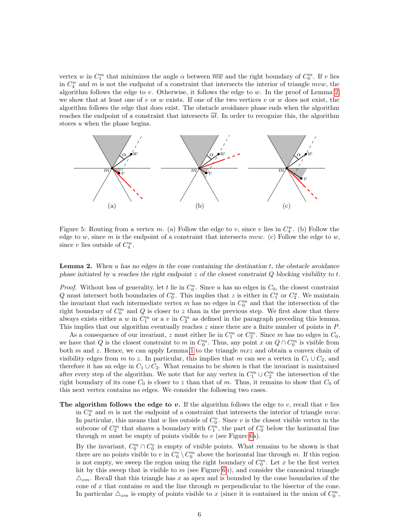vertex w in  $C_1^m$  that minimizes the angle  $\alpha$  between  $\overline{mw}$  and the right boundary of  $C_0^m$ . If v lies in  $C_4^w$  and m is not the endpoint of a constraint that intersects the interior of triangle mvw, the algorithm follows the edge to v. Otherwise, it follows the edge to w. In the proof of Lemma [2,](#page-5-0) we show that at least one of v or w exists. If one of the two vertices v or w does not exist, the algorithm follows the edge that does exist. The obstacle avoidance phase ends when the algorithm reaches the endpoint of a constraint that intersects  $\overline{ut}$ . In order to recognize this, the algorithm stores  $u$  when the phase begins.



<span id="page-5-1"></span>Figure 5: Routing from a vertex m. (a) Follow the edge to v, since v lies in  $C_4^w$ . (b) Follow the edge to w, since m is the endpoint of a constraint that intersects mvw. (c) Follow the edge to w, since v lies outside of  $C_4^w$ .

<span id="page-5-0"></span>**Lemma 2.** When u has no edges in the cone containing the destination  $t$ , the obstacle avoidance phase initiated by u reaches the right endpoint  $z$  of the closest constraint  $Q$  blocking visibility to  $t$ .

*Proof.* Without loss of generality, let t lie in  $C_0^u$ . Since u has no edges in  $C_0$ , the closest constraint Q must intersect both boundaries of  $C_0^u$ . This implies that z is either in  $C_1^u$  or  $C_2^u$ . We maintain the invariant that each intermediate vertex  $m$  has no edges in  $C_0^m$  and that the intersection of the right boundary of  $C_0^m$  and Q is closer to z than in the previous step. We first show that there always exists either a w in  $C_1^m$  or a v in  $C_2^m$  as defined in the paragraph preceding this lemma. This implies that our algorithm eventually reaches z since there are a finite number of points in P.

As a consequence of our invariant, z must either lie in  $C_1^m$  or  $C_2^m$ . Since m has no edges in  $C_0$ , we have that Q is the closest constraint to m in  $C_0^m$ . Thus, any point x on  $Q \cap C_0^m$  is visible from both  $m$  and  $z$ . Hence, we can apply Lemma [1](#page-3-3) to the triangle  $mxz$  and obtain a convex chain of visibility edges from m to z. In particular, this implies that m can see a vertex in  $C_1 \cup C_2$ , and therefore it has an edge in  $C_1 \cup C_2$ . What remains to be shown is that the invariant is maintained after every step of the algorithm. We note that for any vertex in  $C_1^m \cup C_2^m$  the intersection of the right boundary of its cone  $C_0$  is closer to z than that of m. Thus, it remains to show that  $C_0$  of this next vertex contains no edges. We consider the following two cases.

The algorithm follows the edge to  $v$ . If the algorithm follows the edge to  $v$ , recall that  $v$  lies in  $C_4^w$  and m is not the endpoint of a constraint that intersects the interior of triangle  $mvw$ . In particular, this means that w lies outside of  $C_0^v$ . Since v is the closest visible vertex in the subcone of  $C_2^m$  that shares a boundary with  $C_1^m$ , the part of  $C_0^v$  below the horizontal line through  $m$  must be empty of points visible to  $v$  (see Figure [6a](#page-6-0)).

By the invariant,  $C_0^m \cap C_0^v$  is empty of visible points. What remains to be shown is that there are no points visible to v in  $C_0^v \setminus C_0^m$  above the horizontal line through m. If this region is not empty, we sweep the region using the right boundary of  $C_0^m$ . Let x be the first vertex hit by this sweep that is visible to  $m$  (see Figure [6b](#page-6-0)), and consider the canonical triangle  $\Delta_{xm}$ . Recall that this triangle has x as apex and is bounded by the cone boundaries of the cone of  $x$  that contains  $m$  and the line through  $m$  perpendicular to the bisector of the cone. In particular  $\triangle_{xm}$  is empty of points visible to x (since it is contained in the union of  $C_0^m$ ,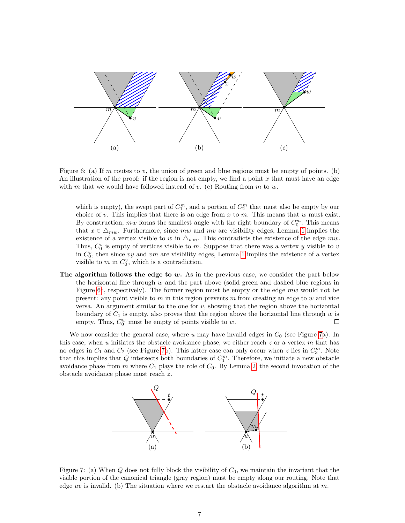

<span id="page-6-0"></span>Figure 6: (a) If m routes to v, the union of green and blue regions must be empty of points. (b) An illustration of the proof: if the region is not empty, we find a point x that must have an edge with m that we would have followed instead of v. (c) Routing from m to w.

which is empty), the swept part of  $C_1^m$ , and a portion of  $C_2^m$  that must also be empty by our choice of v. This implies that there is an edge from  $x$  to  $m$ . This means that  $w$  must exist. By construction,  $\overline{mw}$  forms the smallest angle with the right boundary of  $C_0^m$ . This means that  $x \in \Delta_{mw}$ . Furthermore, since mw and mv are visibility edges, Lemma [1](#page-3-3) implies the existence of a vertex visible to w in  $\Delta_{wm}$ . This contradicts the existence of the edge mw. Thus,  $C_0^v$  is empty of vertices visible to m. Suppose that there was a vertex y visible to v in  $C_0^v$ , then since vy and vm are visibility edges, Lemma [1](#page-3-3) implies the existence of a vertex visible to  $m$  in  $C_0^v$ , which is a contradiction.

The algorithm follows the edge to  $w$ . As in the previous case, we consider the part below the horizontal line through  $w$  and the part above (solid green and dashed blue regions in Figure [6c](#page-6-0), respectively). The former region must be empty or the edge mw would not be present: any point visible to  $m$  in this region prevents  $m$  from creating an edge to  $w$  and vice versa. An argument similar to the one for  $v$ , showing that the region above the horizontal boundary of  $C_1$  is empty, also proves that the region above the horizontal line through w is empty. Thus,  $C_0^w$  must be empty of points visible to  $w$ .  $\Box$ 

We now consider the general case, where u may have invalid edges in  $C_0$  (see Figure [7a](#page-6-1)). In this case, when u initiates the obstacle avoidance phase, we either reach  $z$  or a vertex m that has no edges in  $C_1$  and  $C_2$  (see Figure [7b](#page-6-1)). This latter case can only occur when z lies in  $C_3^m$ . Note that this implies that  $Q$  intersects both boundaries of  $C_1^m$ . Therefore, we initiate a new obstacle avoidance phase from m where  $C_1$  plays the role of  $C_0$ . By Lemma [2,](#page-5-0) the second invocation of the obstacle avoidance phase must reach z.



<span id="page-6-1"></span>Figure 7: (a) When  $Q$  does not fully block the visibility of  $C_0$ , we maintain the invariant that the visible portion of the canonical triangle (gray region) must be empty along our routing. Note that edge uv is invalid. (b) The situation where we restart the obstacle avoidance algorithm at m.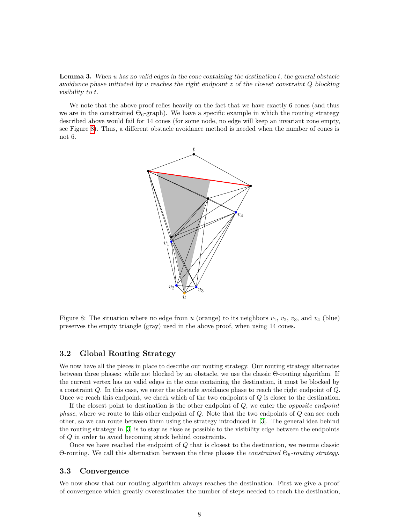**Lemma 3.** When u has no valid edges in the cone containing the destination  $t$ , the general obstacle avoidance phase initiated by u reaches the right endpoint  $z$  of the closest constraint Q blocking visibility to t.

We note that the above proof relies heavily on the fact that we have exactly 6 cones (and thus we are in the constrained  $\Theta_6$ -graph). We have a specific example in which the routing strategy described above would fail for 14 cones (for some node, no edge will keep an invariant zone empty, see Figure [8\)](#page-7-1). Thus, a different obstacle avoidance method is needed when the number of cones is not 6.



<span id="page-7-1"></span>Figure 8: The situation where no edge from u (orange) to its neighbors  $v_1, v_2, v_3$ , and  $v_4$  (blue) preserves the empty triangle (gray) used in the above proof, when using 14 cones.

### <span id="page-7-0"></span>3.2 Global Routing Strategy

We now have all the pieces in place to describe our routing strategy. Our routing strategy alternates between three phases: while not blocked by an obstacle, we use the classic Θ-routing algorithm. If the current vertex has no valid edges in the cone containing the destination, it must be blocked by a constraint Q. In this case, we enter the obstacle avoidance phase to reach the right endpoint of Q. Once we reach this endpoint, we check which of the two endpoints of  $Q$  is closer to the destination.

If the closest point to destination is the other endpoint of  $Q$ , we enter the *opposite endpoint phase*, where we route to this other endpoint of  $Q$ . Note that the two endpoints of  $Q$  can see each other, so we can route between them using the strategy introduced in [\[3\]](#page-17-2). The general idea behind the routing strategy in [\[3\]](#page-17-2) is to stay as close as possible to the visibility edge between the endpoints of Q in order to avoid becoming stuck behind constraints.

Once we have reached the endpoint of Q that is closest to the destination, we resume classic Θ-routing. We call this alternation between the three phases the *constrained*  $Θ<sub>6</sub>-routing strategy.$ 

#### 3.3 Convergence

We now show that our routing algorithm always reaches the destination. First we give a proof of convergence which greatly overestimates the number of steps needed to reach the destination,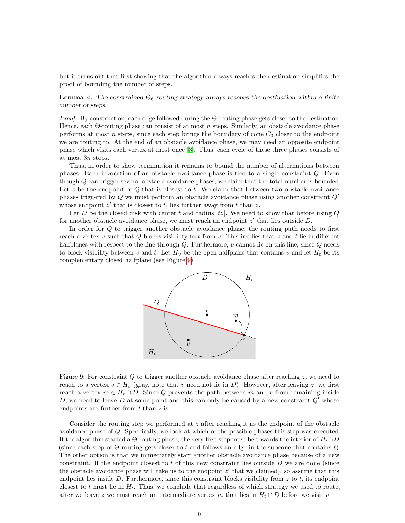but it turns out that first showing that the algorithm always reaches the destination simplifies the proof of bounding the number of steps.

<span id="page-8-1"></span>**Lemma 4.** The constrained  $\Theta_6$ -routing strategy always reaches the destination within a finite number of steps.

*Proof.* By construction, each edge followed during the  $\Theta$ -routing phase gets closer to the destination. Hence, each  $\Theta$ -routing phase can consist of at most *n* steps. Similarly, an obstacle avoidance phase performs at most  $n$  steps, since each step brings the boundary of cone  $C_0$  closer to the endpoint we are routing to. At the end of an obstacle avoidance phase, we may need an opposite endpoint phase which visits each vertex at most once [\[3\]](#page-17-2). Thus, each cycle of these three phases consists of at most 3n steps.

Thus, in order to show termination it remains to bound the number of alternations between phases. Each invocation of an obstacle avoidance phase is tied to a single constraint Q. Even though Q can trigger several obstacle avoidance phases, we claim that the total number is bounded. Let  $z$  be the endpoint of  $Q$  that is closest to  $t$ . We claim that between two obstacle avoidance phases triggered by  $Q$  we must perform an obstacle avoidance phase using another constraint  $Q'$ whose endpoint  $z'$  that is closest to t, lies further away from t than z.

Let D be the closed disk with center t and radius  $|tz|$ . We need to show that before using Q for another obstacle avoidance phase, we must reach an endpoint  $z'$  that lies outside  $D$ .

In order for Q to trigger another obstacle avoidance phase, the routing path needs to first reach a vertex v such that  $Q$  blocks visibility to t from v. This implies that v and t lie in different halfplanes with respect to the line through  $Q$ . Furthermore,  $v$  cannot lie on this line, since  $Q$  needs to block visibility between v and t. Let  $H_v$  be the open halfplane that contains v and let  $H_t$  be its complementary closed halfplane (see Figure [9\)](#page-8-0).



<span id="page-8-0"></span>Figure 9: For constraint  $Q$  to trigger another obstacle avoidance phase after reaching  $z$ , we need to reach to a vertex  $v \in H_v$  (gray, note that v need not lie in D). However, after leaving z, we first reach a vertex  $m \in H_t \cap D$ . Since Q prevents the path between m and v from remaining inside D, we need to leave D at some point and this can only be caused by a new constraint  $Q'$  whose endpoints are further from  $t$  than  $z$  is.

Consider the routing step we performed at z after reaching it as the endpoint of the obstacle avoidance phase of Q. Specifically, we look at which of the possible phases this step was executed. If the algorithm started a  $\Theta$ -routing phase, the very first step must be towards the interior of  $H_t \cap D$ (since each step of  $\Theta$ -routing gets closer to t and follows an edge in the subcone that contains t). The other option is that we immediately start another obstacle avoidance phase because of a new constraint. If the endpoint closest to t of this new constraint lies outside  $D$  we are done (since the obstacle avoidance phase will take us to the endpoint  $z'$  that we claimed), so assume that this endpoint lies inside  $D$ . Furthermore, since this constraint blocks visibility from  $z$  to  $t$ , its endpoint closest to t must lie in  $H_t$ . Thus, we conclude that regardless of which strategy we used to route, after we leave z we must reach an intermediate vertex m that lies in  $H_t \cap D$  before we visit v.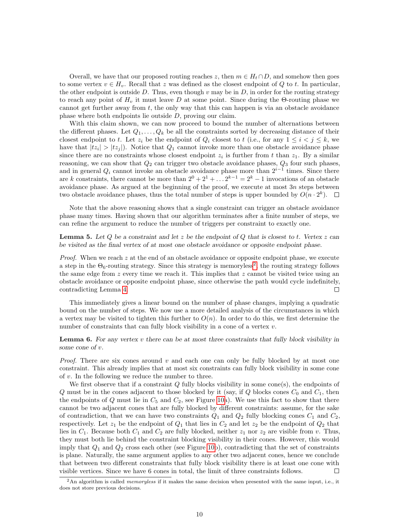Overall, we have that our proposed routing reaches z, then  $m \in H_t \cap D$ , and somehow then goes to some vertex  $v \in H_v$ . Recall that z was defined as the closest endpoint of Q to t. In particular, the other endpoint is outside D. Thus, even though  $v$  may be in D, in order for the routing strategy to reach any point of  $H_v$  it must leave D at some point. Since during the Θ-routing phase we cannot get further away from  $t$ , the only way that this can happen is via an obstacle avoidance phase where both endpoints lie outside D, proving our claim.

With this claim shown, we can now proceed to bound the number of alternations between the different phases. Let  $Q_1, \ldots, Q_k$  be all the constraints sorted by decreasing distance of their closest endpoint to t. Let  $z_i$  be the endpoint of  $Q_i$  closest to t (i.e., for any  $1 \leq i \leq j \leq k$ , we have that  $|tz_i| > |tz_j|$ ). Notice that  $Q_1$  cannot invoke more than one obstacle avoidance phase since there are no constraints whose closest endpoint  $z_i$  is further from t than  $z_1$ . By a similar reasoning, we can show that  $Q_2$  can trigger two obstacle avoidance phases,  $Q_3$  four such phases, and in general  $Q_i$  cannot invoke an obstacle avoidance phase more than  $2^{i-1}$  times. Since there are k constraints, there cannot be more than  $2^0 + 2^1 + \ldots 2^{k-1} = 2^k - 1$  invocations of an obstacle avoidance phase. As argued at the beginning of the proof, we execute at most  $3n$  steps between two obstacle avoidance phases, thus the total number of steps is upper bounded by  $O(n \cdot 2^k)$ .  $\Box$ 

Note that the above reasoning shows that a single constraint can trigger an obstacle avoidance phase many times. Having shown that our algorithm terminates after a finite number of steps, we can refine the argument to reduce the number of triggers per constraint to exactly one.

<span id="page-9-2"></span>**Lemma 5.** Let Q be a constraint and let z be the endpoint of Q that is closest to t. Vertex z can be visited as the final vertex of at most one obstacle avoidance or opposite endpoint phase.

Proof. When we reach z at the end of an obstacle avoidance or opposite endpoint phase, we execute a step in the  $\Theta_6$ -routing strategy. Since this strategy is memoryless<sup>[2](#page-9-0)</sup>, the routing strategy follows the same edge from  $z$  every time we reach it. This implies that  $z$  cannot be visited twice using an obstacle avoidance or opposite endpoint phase, since otherwise the path would cycle indefinitely, contradicting Lemma [4.](#page-8-1)  $\Box$ 

This immediately gives a linear bound on the number of phase changes, implying a quadratic bound on the number of steps. We now use a more detailed analysis of the circumstances in which a vertex may be visited to tighten this further to  $O(n)$ . In order to do this, we first determine the number of constraints that can fully block visibility in a cone of a vertex  $v$ .

<span id="page-9-1"></span>**Lemma 6.** For any vertex v there can be at most three constraints that fully block visibility in some cone of v.

*Proof.* There are six cones around v and each one can only be fully blocked by at most one constraint. This already implies that at most six constraints can fully block visibility in some cone of v. In the following we reduce the number to three.

We first observe that if a constraint  $Q$  fully blocks visibility in some cone(s), the endpoints of  $Q$  must be in the cones adjacent to those blocked by it (say, if  $Q$  blocks cones  $C_0$  and  $C_1$ , then the endpoints of Q must lie in  $C_5$  and  $C_2$ , see Figure [10a](#page-10-0)). We use this fact to show that there cannot be two adjacent cones that are fully blocked by different constraints: assume, for the sake of contradiction, that we can have two constraints  $Q_1$  and  $Q_2$  fully blocking cones  $C_1$  and  $C_2$ , respectively. Let  $z_1$  be the endpoint of  $Q_1$  that lies in  $C_2$  and let  $z_2$  be the endpoint of  $Q_2$  that lies in  $C_1$ . Because both  $C_1$  and  $C_2$  are fully blocked, neither  $z_1$  nor  $z_2$  are visible from v. Thus, they must both lie behind the constraint blocking visibility in their cones. However, this would imply that  $Q_1$  and  $Q_2$  cross each other (see Figure [10b](#page-10-0)), contradicting that the set of constraints is plane. Naturally, the same argument applies to any other two adjacent cones, hence we conclude that between two different constraints that fully block visibility there is at least one cone with visible vertices. Since we have 6 cones in total, the limit of three constraints follows.  $\Box$ 

<span id="page-9-0"></span> ${}^{2}$ An algorithm is called *memoryless* if it makes the same decision when presented with the same input, i.e., it does not store previous decisions.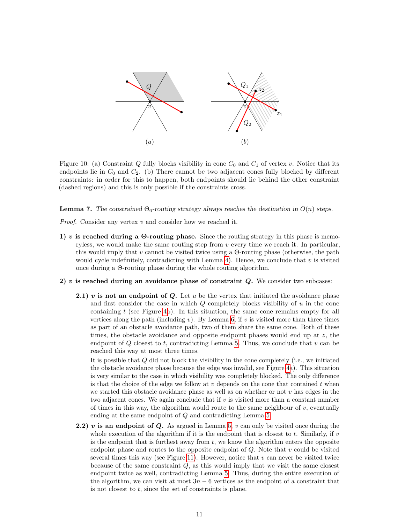

<span id="page-10-0"></span>Figure 10: (a) Constraint Q fully blocks visibility in cone  $C_0$  and  $C_1$  of vertex v. Notice that its endpoints lie in  $C_0$  and  $C_2$ . (b) There cannot be two adjacent cones fully blocked by different constraints: in order for this to happen, both endpoints should lie behind the other constraint (dashed regions) and this is only possible if the constraints cross.

<span id="page-10-1"></span>**Lemma 7.** The constrained  $\Theta_6$ -routing strategy always reaches the destination in  $O(n)$  steps.

*Proof.* Consider any vertex  $v$  and consider how we reached it.

- 1) v is reached during a  $\Theta$ -routing phase. Since the routing strategy in this phase is memoryless, we would make the same routing step from  $v$  every time we reach it. In particular, this would imply that v cannot be visited twice using a  $\Theta$ -routing phase (otherwise, the path would cycle indefinitely, contradicting with Lemma [4\)](#page-8-1). Hence, we conclude that  $v$  is visited once during a Θ-routing phase during the whole routing algorithm.
- 2)  $v$  is reached during an avoidance phase of constraint  $Q$ . We consider two subcases:
	- **2.1)** v is not an endpoint of Q. Let u be the vertex that initiated the avoidance phase and first consider the case in which  $Q$  completely blocks visibility of  $u$  in the cone containing  $t$  (see Figure [4b](#page-4-0)). In this situation, the same cone remains empty for all vertices along the path (including  $v$ ). By Lemma [6,](#page-9-1) if  $v$  is visited more than three times as part of an obstacle avoidance path, two of them share the same cone. Both of these times, the obstacle avoidance and opposite endpoint phases would end up at  $z$ , the endpoint of  $Q$  closest to t, contradicting Lemma [5.](#page-9-2) Thus, we conclude that  $v$  can be reached this way at most three times.

It is possible that Q did not block the visibility in the cone completely (i.e., we initiated the obstacle avoidance phase because the edge was invalid, see Figure [4a](#page-4-0)). This situation is very similar to the case in which visibility was completely blocked. The only difference is that the choice of the edge we follow at  $v$  depends on the cone that contained  $t$  when we started this obstacle avoidance phase as well as on whether or not  $v$  has edges in the two adjacent cones. We again conclude that if  $v$  is visited more than a constant number of times in this way, the algorithm would route to the same neighbour of  $v$ , eventually ending at the same endpoint of Q and contradicting Lemma [5.](#page-9-2)

2.2) v is an endpoint of Q. As argued in Lemma [5,](#page-9-2)  $v$  can only be visited once during the whole execution of the algorithm if it is the endpoint that is closest to t. Similarly, if  $v$ is the endpoint that is furthest away from  $t$ , we know the algorithm enters the opposite endpoint phase and routes to the opposite endpoint of  $Q$ . Note that  $v$  could be visited several times this way (see Figure [11\)](#page-11-0). However, notice that  $v$  can never be visited twice because of the same constraint  $Q$ , as this would imply that we visit the same closest endpoint twice as well, contradicting Lemma [5.](#page-9-2) Thus, during the entire execution of the algorithm, we can visit at most  $3n-6$  vertices as the endpoint of a constraint that is not closest to  $t$ , since the set of constraints is plane.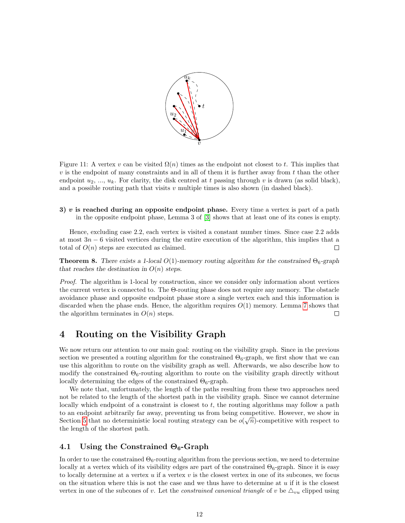

<span id="page-11-0"></span>Figure 11: A vertex v can be visited  $\Omega(n)$  times as the endpoint not closest to t. This implies that  $v$  is the endpoint of many constraints and in all of them it is further away from  $t$  than the other endpoint  $u_2, ..., u_k$ . For clarity, the disk centred at t passing through v is drawn (as solid black), and a possible routing path that visits  $v$  multiple times is also shown (in dashed black).

3)  $v$  is reached during an opposite endpoint phase. Every time a vertex is part of a path in the opposite endpoint phase, Lemma 3 of [\[3\]](#page-17-2) shows that at least one of its cones is empty.

Hence, excluding case 2.2, each vertex is visited a constant number times. Since case 2.2 adds at most  $3n - 6$  visited vertices during the entire execution of the algorithm, this implies that a total of  $O(n)$  steps are executed as claimed.  $\Box$ 

**Theorem 8.** There exists a 1-local  $O(1)$ -memory routing algorithm for the constrained  $\Theta_6$ -graph that reaches the destination in  $O(n)$  steps.

Proof. The algorithm is 1-local by construction, since we consider only information about vertices the current vertex is connected to. The Θ-routing phase does not require any memory. The obstacle avoidance phase and opposite endpoint phase store a single vertex each and this information is discarded when the phase ends. Hence, the algorithm requires  $O(1)$  memory. Lemma [7](#page-10-1) shows that the algorithm terminates in  $O(n)$  steps.  $\Box$ 

# 4 Routing on the Visibility Graph

We now return our attention to our main goal: routing on the visibility graph. Since in the previous section we presented a routing algorithm for the constrained  $\Theta_6$ -graph, we first show that we can use this algorithm to route on the visibility graph as well. Afterwards, we also describe how to modify the constrained  $\Theta_6$ -routing algorithm to route on the visibility graph directly without locally determining the edges of the constrained  $\Theta_6$ -graph.

We note that, unfortunately, the length of the paths resulting from these two approaches need not be related to the length of the shortest path in the visibility graph. Since we cannot determine locally which endpoint of a constraint is closest to  $t$ , the routing algorithms may follow a path to an endpoint arbitrarily far away, preventing us from being competitive. However, we show in √ Section [5](#page-13-0) that no deterministic local routing strategy can be  $o(\sqrt{n})$ -competitive with respect to the length of the shortest path.

### 4.1 Using the Constrained  $\Theta_6$ -Graph

In order to use the constrained  $\Theta_6$ -routing algorithm from the previous section, we need to determine locally at a vertex which of its visibility edges are part of the constrained  $\Theta_6$ -graph. Since it is easy to locally determine at a vertex  $u$  if a vertex  $v$  is the closest vertex in one of its subcones, we focus on the situation where this is not the case and we thus have to determine at  $u$  if it is the closest vertex in one of the subcones of v. Let the *constrained canonical triangle* of v be  $\Delta_{vu}$  clipped using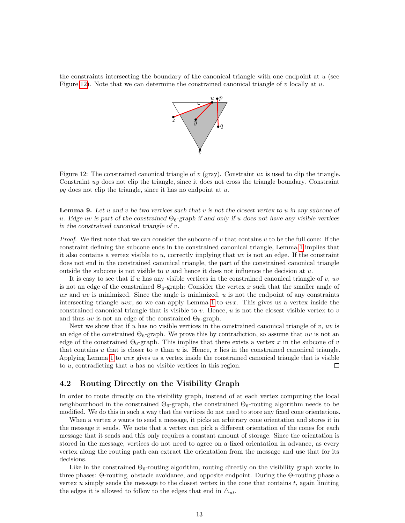the constraints intersecting the boundary of the canonical triangle with one endpoint at  $u$  (see Figure [12\)](#page-12-0). Note that we can determine the constrained canonical triangle of v locally at  $u$ .



<span id="page-12-0"></span>Figure 12: The constrained canonical triangle of v (gray). Constraint  $uz$  is used to clip the triangle. Constraint uy does not clip the triangle, since it does not cross the triangle boundary. Constraint pq does not clip the triangle, since it has no endpoint at  $u$ .

**Lemma 9.** Let u and v be two vertices such that v is not the closest vertex to u in any subcone of u. Edge uv is part of the constrained  $\Theta_6$ -graph if and only if u does not have any visible vertices in the constrained canonical triangle of v.

*Proof.* We first note that we can consider the subcone of  $v$  that contains  $u$  to be the full cone: If the constraint defining the subcone ends in the constrained canonical triangle, Lemma [1](#page-3-3) implies that it also contains a vertex visible to  $u$ , correctly implying that  $uv$  is not an edge. If the constraint does not end in the constrained canonical triangle, the part of the constrained canonical triangle outside the subcone is not visible to  $u$  and hence it does not influence the decision at  $u$ .

It is easy to see that if u has any visible vertices in the constrained canonical triangle of  $v, uv$ is not an edge of the constrained  $\Theta_6$ -graph: Consider the vertex x such that the smaller angle of  $ux$  and  $uv$  is minimized. Since the angle is minimized,  $u$  is not the endpoint of any constraints intersecting triangle  $uvx$ , so we can apply Lemma [1](#page-3-3) to  $uvx$ . This gives us a vertex inside the constrained canonical triangle that is visible to v. Hence, u is not the closest visible vertex to v and thus uv is not an edge of the constrained  $\Theta_6$ -graph.

Next we show that if u has no visible vertices in the constrained canonical triangle of  $v, uv$  is an edge of the constrained  $\Theta_6$ -graph. We prove this by contradiction, so assume that uv is not an edge of the constrained  $\Theta_6$ -graph. This implies that there exists a vertex x in the subcone of v that contains u that is closer to v than u is. Hence, x lies in the constrained canonical triangle. Applying Lemma [1](#page-3-3) to uvx gives us a vertex inside the constrained canonical triangle that is visible to  $u$ , contradicting that  $u$  has no visible vertices in this region. П

### 4.2 Routing Directly on the Visibility Graph

In order to route directly on the visibility graph, instead of at each vertex computing the local neighbourhood in the constrained  $\Theta_6$ -graph, the constrained  $\Theta_6$ -routing algorithm needs to be modified. We do this in such a way that the vertices do not need to store any fixed cone orientations.

When a vertex s wants to send a message, it picks an arbitrary cone orientation and stores it in the message it sends. We note that a vertex can pick a different orientation of the cones for each message that it sends and this only requires a constant amount of storage. Since the orientation is stored in the message, vertices do not need to agree on a fixed orientation in advance, as every vertex along the routing path can extract the orientation from the message and use that for its decisions.

Like in the constrained  $\Theta_6$ -routing algorithm, routing directly on the visibility graph works in three phases: Θ-routing, obstacle avoidance, and opposite endpoint. During the Θ-routing phase a vertex  $u$  simply sends the message to the closest vertex in the cone that contains  $t$ , again limiting the edges it is allowed to follow to the edges that end in  $\Delta_{ut}$ .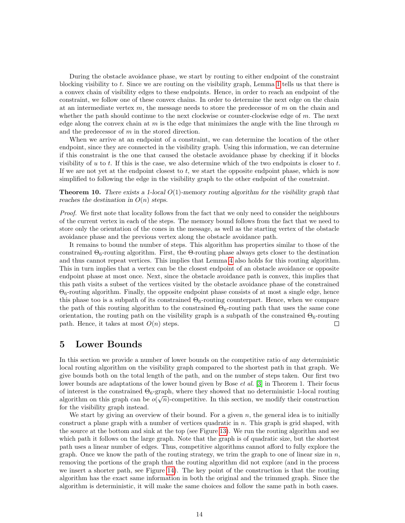During the obstacle avoidance phase, we start by routing to either endpoint of the constraint blocking visibility to t. Since we are routing on the visibility graph, Lemma [1](#page-3-3) tells us that there is a convex chain of visibility edges to these endpoints. Hence, in order to reach an endpoint of the constraint, we follow one of these convex chains. In order to determine the next edge on the chain at an intermediate vertex  $m$ , the message needs to store the predecessor of  $m$  on the chain and whether the path should continue to the next clockwise or counter-clockwise edge of  $m$ . The next edge along the convex chain at m is the edge that minimizes the angle with the line through  $m$ and the predecessor of  $m$  in the stored direction.

When we arrive at an endpoint of a constraint, we can determine the location of the other endpoint, since they are connected in the visibility graph. Using this information, we can determine if this constraint is the one that caused the obstacle avoidance phase by checking if it blocks visibility of u to t. If this is the case, we also determine which of the two endpoints is closer to t. If we are not yet at the endpoint closest to  $t$ , we start the opposite endpoint phase, which is now simplified to following the edge in the visibility graph to the other endpoint of the constraint.

**Theorem 10.** There exists a 1-local  $O(1)$ -memory routing algorithm for the visibility graph that reaches the destination in  $O(n)$  steps.

Proof. We first note that locality follows from the fact that we only need to consider the neighbours of the current vertex in each of the steps. The memory bound follows from the fact that we need to store only the orientation of the cones in the message, as well as the starting vertex of the obstacle avoidance phase and the previous vertex along the obstacle avoidance path.

It remains to bound the number of steps. This algorithm has properties similar to those of the constrained  $\Theta_6$ -routing algorithm. First, the Θ-routing phase always gets closer to the destination and thus cannot repeat vertices. This implies that Lemma [4](#page-8-1) also holds for this routing algorithm. This in turn implies that a vertex can be the closest endpoint of an obstacle avoidance or opposite endpoint phase at most once. Next, since the obstacle avoidance path is convex, this implies that this path visits a subset of the vertices visited by the obstacle avoidance phase of the constrained  $\Theta_6$ -routing algorithm. Finally, the opposite endpoint phase consists of at most a single edge, hence this phase too is a subpath of its constrained  $\Theta_6$ -routing counterpart. Hence, when we compare the path of this routing algorithm to the constrained  $\Theta_6$ -routing path that uses the same cone orientation, the routing path on the visibility graph is a subpath of the constrained  $\Theta_6$ -routing path. Hence, it takes at most  $O(n)$  steps.  $\Box$ 

### <span id="page-13-0"></span>5 Lower Bounds

In this section we provide a number of lower bounds on the competitive ratio of any deterministic local routing algorithm on the visibility graph compared to the shortest path in that graph. We give bounds both on the total length of the path, and on the number of steps taken. Our first two lower bounds are adaptations of the lower bound given by Bose *et al.* [\[3\]](#page-17-2) in Theorem 1. Their focus of interest is the constrained  $\Theta_6$ -graph, where they showed that no deterministic 1-local routing algorithm on this graph can be  $o(\sqrt{n})$ -competitive. In this section, we modify their construction for the visibility graph instead.

We start by giving an overview of their bound. For a given  $n$ , the general idea is to initially construct a plane graph with a number of vertices quadratic in  $n$ . This graph is grid shaped, with the source at the bottom and sink at the top (see Figure [13\)](#page-14-0). We run the routing algorithm and see which path it follows on the large graph. Note that the graph is of quadratic size, but the shortest path uses a linear number of edges. Thus, competitive algorithms cannot afford to fully explore the graph. Once we know the path of the routing strategy, we trim the graph to one of linear size in  $n$ , removing the portions of the graph that the routing algorithm did not explore (and in the process we insert a shorter path, see Figure [14\)](#page-14-1). The key point of the construction is that the routing algorithm has the exact same information in both the original and the trimmed graph. Since the algorithm is deterministic, it will make the same choices and follow the same path in both cases.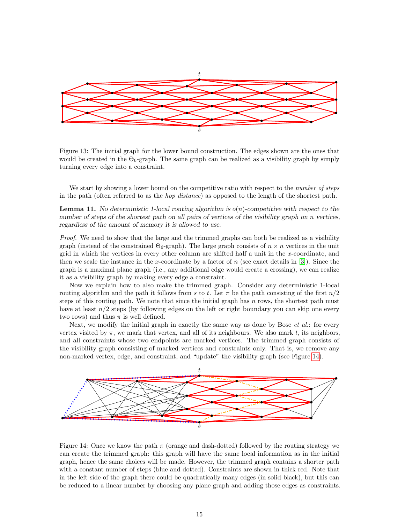

<span id="page-14-0"></span>Figure 13: The initial graph for the lower bound construction. The edges shown are the ones that would be created in the  $\Theta_6$ -graph. The same graph can be realized as a visibility graph by simply turning every edge into a constraint.

We start by showing a lower bound on the competitive ratio with respect to the *number of steps* in the path (often referred to as the hop distance) as opposed to the length of the shortest path.

<span id="page-14-2"></span>**Lemma 11.** No deterministic 1-local routing algorithm is  $o(n)$ -competitive with respect to the number of steps of the shortest path on all pairs of vertices of the visibility graph on n vertices, regardless of the amount of memory it is allowed to use.

Proof. We need to show that the large and the trimmed graphs can both be realized as a visibility graph (instead of the constrained  $\Theta_6$ -graph). The large graph consists of  $n \times n$  vertices in the unit grid in which the vertices in every other column are shifted half a unit in the  $x$ -coordinate, and then we scale the instance in the x-coordinate by a factor of  $n$  (see exact details in [\[3\]](#page-17-2)). Since the graph is a maximal plane graph (i.e., any additional edge would create a crossing), we can realize it as a visibility graph by making every edge a constraint.

Now we explain how to also make the trimmed graph. Consider any deterministic 1-local routing algorithm and the path it follows from s to t. Let  $\pi$  be the path consisting of the first  $n/2$ steps of this routing path. We note that since the initial graph has  $n$  rows, the shortest path must have at least  $n/2$  steps (by following edges on the left or right boundary you can skip one every two rows) and thus  $\pi$  is well defined.

Next, we modify the initial graph in exactly the same way as done by Bose et al.: for every vertex visited by  $\pi$ , we mark that vertex, and all of its neighbours. We also mark t, its neighbors, and all constraints whose two endpoints are marked vertices. The trimmed graph consists of the visibility graph consisting of marked vertices and constraints only. That is, we remove any non-marked vertex, edge, and constraint, and "update" the visibility graph (see Figure [14\)](#page-14-1).



<span id="page-14-1"></span>Figure 14: Once we know the path  $\pi$  (orange and dash-dotted) followed by the routing strategy we can create the trimmed graph: this graph will have the same local information as in the initial graph, hence the same choices will be made. However, the trimmed graph contains a shorter path with a constant number of steps (blue and dotted). Constraints are shown in thick red. Note that in the left side of the graph there could be quadratically many edges (in solid black), but this can be reduced to a linear number by choosing any plane graph and adding those edges as constraints.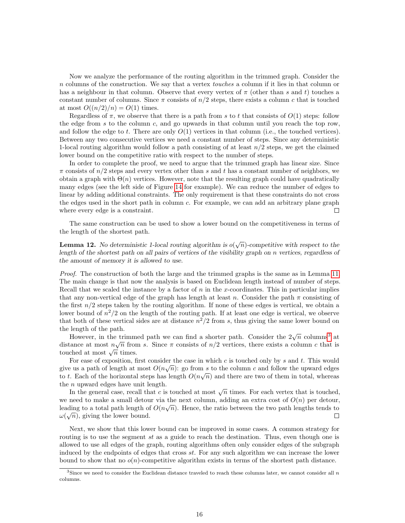Now we analyze the performance of the routing algorithm in the trimmed graph. Consider the n columns of the construction. We say that a vertex *touches* a column if it lies in that column or has a neighbour in that column. Observe that every vertex of  $\pi$  (other than s and t) touches a constant number of columns. Since  $\pi$  consists of  $n/2$  steps, there exists a column c that is touched at most  $O((n/2)/n) = O(1)$  times.

Regardless of  $\pi$ , we observe that there is a path from s to t that consists of  $O(1)$  steps: follow the edge from s to the column c, and go upwards in that column until you reach the top row, and follow the edge to t. There are only  $O(1)$  vertices in that column (i.e., the touched vertices). Between any two consecutive vertices we need a constant number of steps. Since any deterministic 1-local routing algorithm would follow a path consisting of at least  $n/2$  steps, we get the claimed lower bound on the competitive ratio with respect to the number of steps.

In order to complete the proof, we need to argue that the trimmed graph has linear size. Since  $\pi$  consists of  $n/2$  steps and every vertex other than s and t has a constant number of neighbors, we obtain a graph with  $\Theta(n)$  vertices. However, note that the resulting graph could have quadratically many edges (see the left side of Figure [14](#page-14-1) for example). We can reduce the number of edges to linear by adding additional constraints. The only requirement is that these constraints do not cross the edges used in the short path in column  $c$ . For example, we can add an arbitrary plane graph where every edge is a constraint.  $\Box$ 

The same construction can be used to show a lower bound on the competitiveness in terms of the length of the shortest path.

**Lemma 12.** No deterministic 1-local routing algorithm is  $o(\sqrt{n})$ -competitive with respect to the length of the shortest path on all pairs of vertices of the visibility graph on n vertices, regardless of the amount of memory it is allowed to use.

Proof. The construction of both the large and the trimmed graphs is the same as in Lemma [11.](#page-14-2) The main change is that now the analysis is based on Euclidean length instead of number of steps. Recall that we scaled the instance by a factor of  $n$  in the x-coordinates. This in particular implies that any non-vertical edge of the graph has length at least n. Consider the path  $\pi$  consisting of the first  $n/2$  steps taken by the routing algorithm. If none of these edges is vertical, we obtain a lower bound of  $n^2/2$  on the length of the routing path. If at least one edge is vertical, we observe that both of these vertical sides are at distance  $n^2/2$  from s, thus giving the same lower bound on the length of the path.

However, in the trimmed path we can find a shorter path. Consider the  $2\sqrt{n}$  columns<sup>[3](#page-15-0)</sup> at distance at most  $n\sqrt{n}$  from s. Since  $\pi$  consists of  $n/2$  vertices, there exists a column c that is distance at most  $n\sqrt{n}$  fines.<br>touched at most  $\sqrt{n}$  times.

For ease of exposition, first consider the case in which c is touched only by s and t. This would give us a path of length at most  $O(n\sqrt{n})$ : go from s to the column c and follow the upward edges to t. Each of the horizontal steps has length  $O(n\sqrt{n})$  and there are two of them in total, whereas the n upward edges have unit length.

n upward edges have untituding that c is touched at most  $\sqrt{n}$  times. For each vertex that is touched, we need to make a small detour via the next column, adding an extra cost of  $O(n)$  per detour, leading to a total path length of  $O(n\sqrt{n})$ . Hence, the ratio between the two path lengths tends to  $\omega(\sqrt{n})$ , giving the lower bound.  $\Box$ 

Next, we show that this lower bound can be improved in some cases. A common strategy for routing is to use the segment st as a guide to reach the destination. Thus, even though one is allowed to use all edges of the graph, routing algorithms often only consider edges of the subgraph induced by the endpoints of edges that cross st. For any such algorithm we can increase the lower bound to show that no  $o(n)$ -competitive algorithm exists in terms of the shortest path distance.

<span id="page-15-0"></span><sup>&</sup>lt;sup>3</sup>Since we need to consider the Euclidean distance traveled to reach these columns later, we cannot consider all  $n$ columns.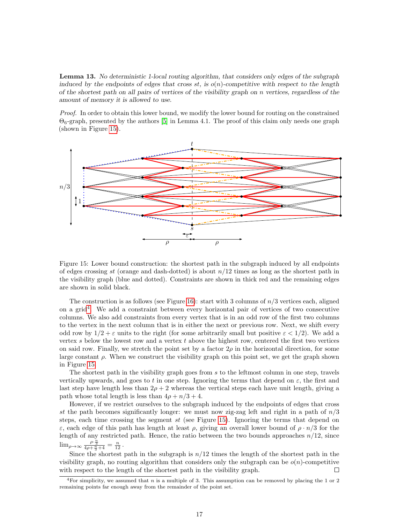Lemma 13. No deterministic 1-local routing algorithm, that considers only edges of the subgraph induced by the endpoints of edges that cross st, is  $o(n)$ -competitive with respect to the length of the shortest path on all pairs of vertices of the visibility graph on  $n$  vertices, regardless of the amount of memory it is allowed to use.

Proof. In order to obtain this lower bound, we modify the lower bound for routing on the constrained  $\Theta_6$ -graph, presented by the authors [\[5\]](#page-18-8) in Lemma 4.1. The proof of this claim only needs one graph (shown in Figure [15\)](#page-16-0).



<span id="page-16-0"></span>Figure 15: Lower bound construction: the shortest path in the subgraph induced by all endpoints of edges crossing st (orange and dash-dotted) is about  $n/12$  times as long as the shortest path in the visibility graph (blue and dotted). Constraints are shown in thick red and the remaining edges are shown in solid black.

The construction is as follows (see Figure [16\)](#page-17-3): start with 3 columns of  $n/3$  vertices each, aligned on a grid<sup>[4](#page-16-1)</sup>. We add a constraint between every horizontal pair of vertices of two consecutive columns. We also add constraints from every vertex that is in an odd row of the first two columns to the vertex in the next column that is in either the next or previous row. Next, we shift every odd row by  $1/2 + \varepsilon$  units to the right (for some arbitrarily small but positive  $\varepsilon < 1/2$ ). We add a vertex s below the lowest row and a vertex  $t$  above the highest row, centered the first two vertices on said row. Finally, we stretch the point set by a factor  $2\rho$  in the horizontal direction, for some large constant  $\rho$ . When we construct the visibility graph on this point set, we get the graph shown in Figure [15.](#page-16-0)

The shortest path in the visibility graph goes from s to the leftmost column in one step, travels vertically upwards, and goes to t in one step. Ignoring the terms that depend on  $\varepsilon$ , the first and last step have length less than  $2\rho + 2$  whereas the vertical steps each have unit length, giving a path whose total length is less than  $4\rho + n/3 + 4$ .

However, if we restrict ourselves to the subgraph induced by the endpoints of edges that cross st the path becomes significantly longer: we must now zig-zag left and right in a path of  $n/3$ steps, each time crossing the segment st (see Figure [15\)](#page-16-0). Ignoring the terms that depend on ε, each edge of this path has length at least  $ρ$ , giving an overall lower bound of  $ρ \cdot n/3$  for the length of any restricted path. Hence, the ratio between the two bounds approaches  $n/12$ , since  $\lim_{\rho \to \infty} \frac{\rho \cdot \frac{n}{3}}{4\rho + \frac{n}{3} + 4} = \frac{n}{12}$ .

Since the shortest path in the subgraph is  $n/12$  times the length of the shortest path in the visibility graph, no routing algorithm that considers only the subgraph can be  $o(n)$ -competitive with respect to the length of the shortest path in the visibility graph.  $\Box$ 

<span id="page-16-1"></span><sup>&</sup>lt;sup>4</sup>For simplicity, we assumed that n is a multiple of 3. This assumption can be removed by placing the 1 or 2 remaining points far enough away from the remainder of the point set.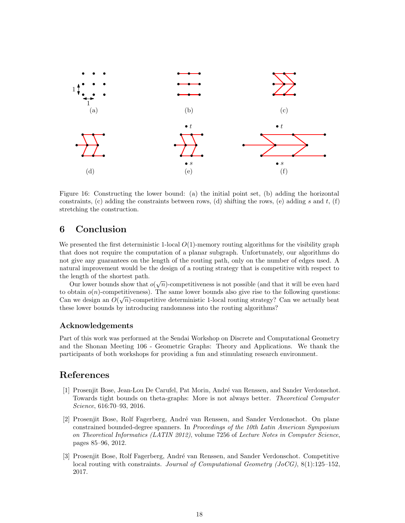

<span id="page-17-3"></span>Figure 16: Constructing the lower bound: (a) the initial point set, (b) adding the horizontal constraints, (c) adding the constraints between rows, (d) shifting the rows, (e) adding  $s$  and  $t$ , (f) stretching the construction.

# 6 Conclusion

We presented the first deterministic 1-local  $O(1)$ -memory routing algorithms for the visibility graph that does not require the computation of a planar subgraph. Unfortunately, our algorithms do not give any guarantees on the length of the routing path, only on the number of edges used. A natural improvement would be the design of a routing strategy that is competitive with respect to the length of the shortest path.

Figure of the shortest part.<br>Our lower bounds show that  $o(\sqrt{n})$ -competitiveness is not possible (and that it will be even hard to obtain  $o(n)$ -competitiveness). The same lower bounds also give rise to the following questions: Can we design an  $O(\sqrt{n})$ -competitive deterministic 1-local routing strategy? Can we actually beat these lower bounds by introducing randomness into the routing algorithms?

### Acknowledgements

Part of this work was performed at the Sendai Workshop on Discrete and Computational Geometry and the Shonan Meeting 106 - Geometric Graphs: Theory and Applications. We thank the participants of both workshops for providing a fun and stimulating research environment.

## References

- <span id="page-17-0"></span>[1] Prosenjit Bose, Jean-Lou De Carufel, Pat Morin, André van Renssen, and Sander Verdonschot. Towards tight bounds on theta-graphs: More is not always better. Theoretical Computer Science, 616:70–93, 2016.
- <span id="page-17-1"></span>[2] Prosenjit Bose, Rolf Fagerberg, André van Renssen, and Sander Verdonschot. On plane constrained bounded-degree spanners. In Proceedings of the 10th Latin American Symposium on Theoretical Informatics (LATIN 2012), volume 7256 of Lecture Notes in Computer Science, pages 85–96, 2012.
- <span id="page-17-2"></span>[3] Prosenjit Bose, Rolf Fagerberg, André van Renssen, and Sander Verdonschot. Competitive local routing with constraints. *Journal of Computational Geometry (JoCG)*,  $8(1):125-152$ , 2017.